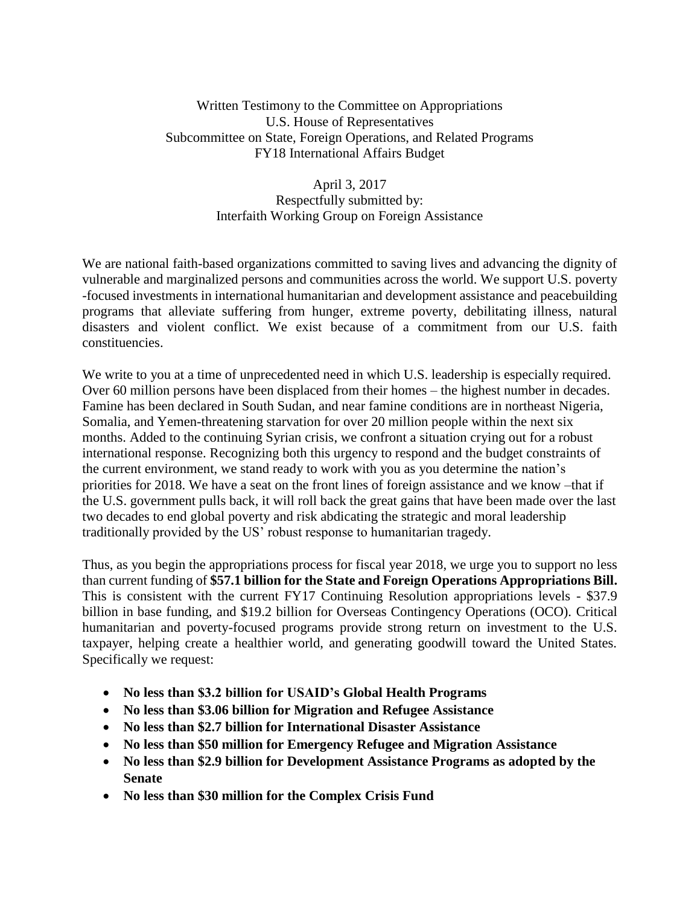### Written Testimony to the Committee on Appropriations U.S. House of Representatives Subcommittee on State, Foreign Operations, and Related Programs FY18 International Affairs Budget

# April 3, 2017 Respectfully submitted by: Interfaith Working Group on Foreign Assistance

We are national faith-based organizations committed to saving lives and advancing the dignity of vulnerable and marginalized persons and communities across the world. We support U.S. poverty -focused investments in international humanitarian and development assistance and peacebuilding programs that alleviate suffering from hunger, extreme poverty, debilitating illness, natural disasters and violent conflict. We exist because of a commitment from our U.S. faith constituencies.

We write to you at a time of unprecedented need in which U.S. leadership is especially required. Over 60 million persons have been displaced from their homes – the highest number in decades. Famine has been declared in South Sudan, and near famine conditions are in northeast Nigeria, Somalia, and Yemen-threatening starvation for over 20 million people within the next six months. Added to the continuing Syrian crisis, we confront a situation crying out for a robust international response. Recognizing both this urgency to respond and the budget constraints of the current environment, we stand ready to work with you as you determine the nation's priorities for 2018. We have a seat on the front lines of foreign assistance and we know –that if the U.S. government pulls back, it will roll back the great gains that have been made over the last two decades to end global poverty and risk abdicating the strategic and moral leadership traditionally provided by the US' robust response to humanitarian tragedy.

Thus, as you begin the appropriations process for fiscal year 2018, we urge you to support no less than current funding of **\$57.1 billion for the State and Foreign Operations Appropriations Bill.** This is consistent with the current FY17 Continuing Resolution appropriations levels - \$37.9 billion in base funding, and \$19.2 billion for Overseas Contingency Operations (OCO). Critical humanitarian and poverty-focused programs provide strong return on investment to the U.S. taxpayer, helping create a healthier world, and generating goodwill toward the United States. Specifically we request:

- **No less than \$3.2 billion for USAID's Global Health Programs**
- **No less than \$3.06 billion for Migration and Refugee Assistance**
- **No less than \$2.7 billion for International Disaster Assistance**
- **No less than \$50 million for Emergency Refugee and Migration Assistance**
- **No less than \$2.9 billion for Development Assistance Programs as adopted by the Senate**
- **No less than \$30 million for the Complex Crisis Fund**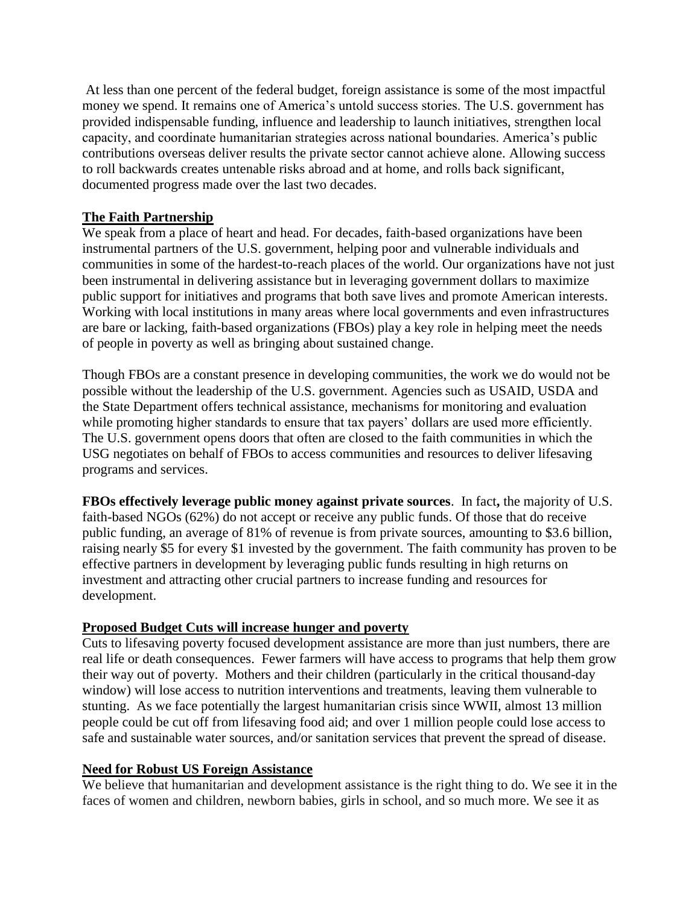At less than one percent of the federal budget, foreign assistance is some of the most impactful money we spend. It remains one of America's untold success stories. The U.S. government has provided indispensable funding, influence and leadership to launch initiatives, strengthen local capacity, and coordinate humanitarian strategies across national boundaries. America's public contributions overseas deliver results the private sector cannot achieve alone. Allowing success to roll backwards creates untenable risks abroad and at home, and rolls back significant, documented progress made over the last two decades.

# **The Faith Partnership**

We speak from a place of heart and head. For decades, faith-based organizations have been instrumental partners of the U.S. government, helping poor and vulnerable individuals and communities in some of the hardest-to-reach places of the world. Our organizations have not just been instrumental in delivering assistance but in leveraging government dollars to maximize public support for initiatives and programs that both save lives and promote American interests. Working with local institutions in many areas where local governments and even infrastructures are bare or lacking, faith-based organizations (FBOs) play a key role in helping meet the needs of people in poverty as well as bringing about sustained change.

Though FBOs are a constant presence in developing communities, the work we do would not be possible without the leadership of the U.S. government. Agencies such as USAID, USDA and the State Department offers technical assistance, mechanisms for monitoring and evaluation while promoting higher standards to ensure that tax payers' dollars are used more efficiently. The U.S. government opens doors that often are closed to the faith communities in which the USG negotiates on behalf of FBOs to access communities and resources to deliver lifesaving programs and services.

**FBOs effectively leverage public money against private sources**. In fact**,** the majority of U.S. faith-based NGOs (62%) do not accept or receive any public funds. Of those that do receive public funding, an average of 81% of revenue is from private sources, amounting to \$3.6 billion, raising nearly \$5 for every \$1 invested by the government. The faith community has proven to be effective partners in development by leveraging public funds resulting in high returns on investment and attracting other crucial partners to increase funding and resources for development.

# **Proposed Budget Cuts will increase hunger and poverty**

Cuts to lifesaving poverty focused development assistance are more than just numbers, there are real life or death consequences. Fewer farmers will have access to programs that help them grow their way out of poverty. Mothers and their children (particularly in the critical thousand-day window) will lose access to nutrition interventions and treatments, leaving them vulnerable to stunting. As we face potentially the largest humanitarian crisis since WWII, almost 13 million people could be cut off from lifesaving food aid; and over 1 million people could lose access to safe and sustainable water sources, and/or sanitation services that prevent the spread of disease.

# **Need for Robust US Foreign Assistance**

We believe that humanitarian and development assistance is the right thing to do. We see it in the faces of women and children, newborn babies, girls in school, and so much more. We see it as